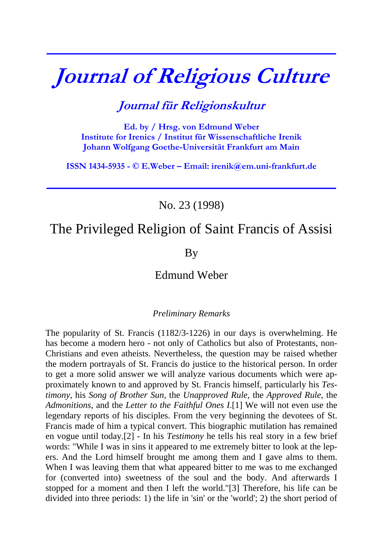# **Journal of Religious Culture**

**\_\_\_\_\_\_\_\_\_\_\_\_\_\_\_\_\_\_\_\_\_\_\_\_\_\_\_\_\_\_\_\_\_\_\_\_\_\_\_\_\_\_\_\_\_\_\_\_\_\_\_\_\_\_\_\_\_\_\_\_\_\_\_\_\_\_\_\_\_\_\_\_\_\_\_**

## **Journal für Religionskultur**

**Ed. by / Hrsg. von Edmund Weber Institute for Irenics / Institut für Wissenschaftliche Irenik Johann Wolfgang Goethe-Universität Frankfurt am Main** 

**ISSN 1434-5935 - © E.Weber – Email: [irenik@em.uni-frankfurt.de](mailto:irenik@em.uni-frankfurt.de)**

**\_\_\_\_\_\_\_\_\_\_\_\_\_\_\_\_\_\_\_\_\_\_\_\_\_\_\_\_\_\_\_\_\_\_\_\_\_\_\_\_\_\_\_\_\_\_\_\_\_\_\_\_\_\_\_\_\_\_\_\_\_\_\_\_\_\_\_\_\_\_\_\_\_\_\_**

No. 23 (1998)

## The Privileged Religion of Saint Francis of Assisi

By

### Edmund Weber

#### *Preliminary Remarks*

The popularity of St. Francis (1182/3-1226) in our days is overwhelming. He has become a modern hero - not only of Catholics but also of Protestants, non-Christians and even atheists. Nevertheless, the question may be raised whether the modern portrayals of St. Francis do justice to the historical person. In order to get a more solid answer we will analyze various documents which were approximately known to and approved by St. Francis himself, particularly his *Testimony*, his *Song of Brother Sun,* the *Unapproved Rule*, the *Approved Rule*, the *Admonitions*, and the *Letter to the Faithful Ones I*.[1] We will not even use the legendary reports of his disciples. From the very beginning the devotees of St. Francis made of him a typical convert. This biographic mutilation has remained en vogue until today.[2] - In his *Testimony* he tells his real story in a few brief words: "While I was in sins it appeared to me extremely bitter to look at the lepers. And the Lord himself brought me among them and I gave alms to them. When I was leaving them that what appeared bitter to me was to me exchanged for (converted into) sweetness of the soul and the body. And afterwards I stopped for a moment and then I left the world."[3] Therefore, his life can be divided into three periods: 1) the life in 'sin' or the 'world'; 2) the short period of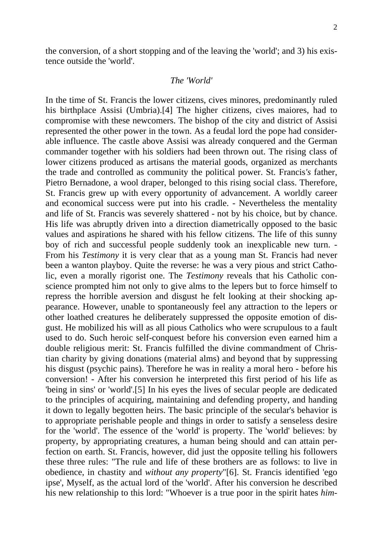the conversion, of a short stopping and of the leaving the 'world'; and 3) his existence outside the 'world'.

#### *The 'World'*

In the time of St. Francis the lower citizens, cives minores, predominantly ruled his birthplace Assisi (Umbria).[4] The higher citizens, cives maiores, had to compromise with these newcomers. The bishop of the city and district of Assisi represented the other power in the town. As a feudal lord the pope had considerable influence. The castle above Assisi was already conquered and the German commander together with his soldiers had been thrown out. The rising class of lower citizens produced as artisans the material goods, organized as merchants the trade and controlled as community the political power. St. Francis*'s* father, Pietro Bernadone, a wool draper, belonged to this rising social class. Therefore, St. Francis grew up with every opportunity of advancement. A worldly career and economical success were put into his cradle. - Nevertheless the mentality and life of St. Francis was severely shattered - not by his choice, but by chance. His life was abruptly driven into a direction diametrically opposed to the basic values and aspirations he shared with his fellow citizens. The life of this sunny boy of rich and successful people suddenly took an inexplicable new turn. - From his *Testimony* it is very clear that as a young man St. Francis had never been a wanton playboy. Quite the reverse: he was a very pious and strict Catholic, even a morally rigorist one. The *Testimony* reveals that his Catholic conscience prompted him not only to give alms to the lepers but to force himself to repress the horrible aversion and disgust he felt looking at their shocking appearance. However, unable to spontaneously feel any attraction to the lepers or other loathed creatures he deliberately suppressed the opposite emotion of disgust. He mobilized his will as all pious Catholics who were scrupulous to a fault used to do. Such heroic self-conquest before his conversion even earned him a double religious merit: St. Francis fulfilled the divine commandment of Christian charity by giving donations (material alms) and beyond that by suppressing his disgust (psychic pains). Therefore he was in reality a moral hero - before his conversion! - After his conversion he interpreted this first period of his life as 'being in sins' or 'world'.[5] In his eyes the lives of secular people are dedicated to the principles of acquiring, maintaining and defending property, and handing it down to legally begotten heirs. The basic principle of the secular's behavior is to appropriate perishable people and things in order to satisfy a senseless desire for the 'world'. The essence of the 'world' is property. The 'world' believes: by property, by appropriating creatures, a human being should and can attain perfection on earth. St. Francis*,* however, did just the opposite telling his followers these three rules: "The rule and life of these brothers are as follows: to live in obedience, in chastity and *without any property*"[6]. St. Francis identified 'ego ipse', Myself, as the actual lord of the 'world'. After his conversion he described his new relationship to this lord: "Whoever is a true poor in the spirit hates *him-*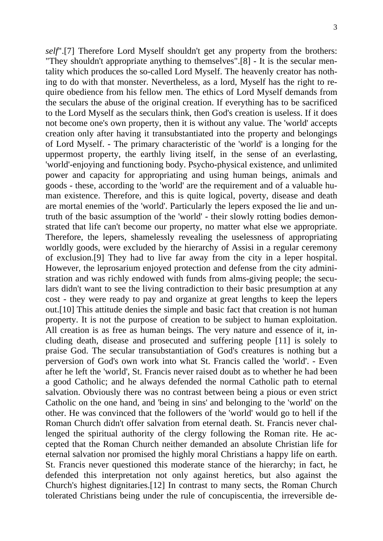*self*".[7] Therefore Lord Myself shouldn't get any property from the brothers: "They shouldn't appropriate anything to themselves".[8] - It is the secular mentality which produces the so-called Lord Myself. The heavenly creator has nothing to do with that monster. Nevertheless, as a lord, Myself has the right to require obedience from his fellow men. The ethics of Lord Myself demands from the seculars the abuse of the original creation. If everything has to be sacrificed to the Lord Myself as the seculars think, then God's creation is useless. If it does not become one's own property, then it is without any value. The 'world' accepts creation only after having it transubstantiated into the property and belongings of Lord Myself. - The primary characteristic of the 'world' is a longing for the uppermost property, the earthly living itself, in the sense of an everlasting, 'world'-enjoying and functioning body. Psycho-physical existence, and unlimited power and capacity for appropriating and using human beings, animals and goods - these, according to the 'world' are the requirement and of a valuable human existence. Therefore, and this is quite logical, poverty, disease and death are mortal enemies of the 'world'. Particularly the lepers exposed the lie and untruth of the basic assumption of the 'world' - their slowly rotting bodies demonstrated that life can't become our property, no matter what else we appropriate. Therefore, the lepers, shamelessly revealing the uselessness of appropriating worldly goods, were excluded by the hierarchy of Assisi in a regular ceremony of exclusion.[9] They had to live far away from the city in a leper hospital. However, the leprosarium enjoyed protection and defense from the city administration and was richly endowed with funds from alms-giving people; the seculars didn't want to see the living contradiction to their basic presumption at any cost - they were ready to pay and organize at great lengths to keep the lepers out.[10] This attitude denies the simple and basic fact that creation is not human property. It is not the purpose of creation to be subject to human exploitation. All creation is as free as human beings. The very nature and essence of it, including death, disease and prosecuted and suffering people [11] is solely to praise God. The secular transubstantiation of God's creatures is nothing but a perversion of God's own work into what St. Francis called the 'world'. - Even after he left the 'world', St. Francis never raised doubt as to whether he had been a good Catholic; and he always defended the normal Catholic path to eternal salvation. Obviously there was no contrast between being a pious or even strict Catholic on the one hand, and 'being in sins' and belonging to the 'world' on the other. He was convinced that the followers of the 'world' would go to hell if the Roman Church didn't offer salvation from eternal death. St. Francis never challenged the spiritual authority of the clergy following the Roman rite. He accepted that the Roman Church neither demanded an absolute Christian life for eternal salvation nor promised the highly moral Christians a happy life on earth. St. Francis never questioned this moderate stance of the hierarchy; in fact, he defended this interpretation not only against heretics, but also against the Church's highest dignitaries.[12] In contrast to many sects, the Roman Church tolerated Christians being under the rule of concupiscentia, the irreversible de-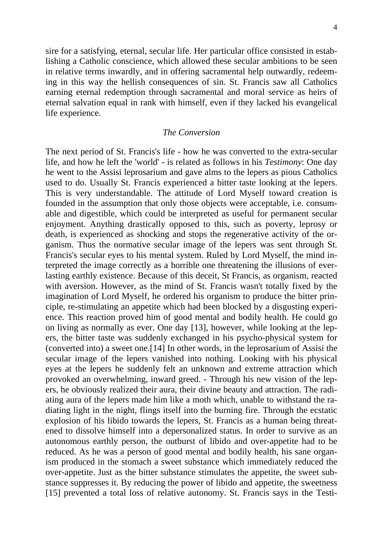sire for a satisfying, eternal, secular life. Her particular office consisted in establishing a Catholic conscience, which allowed these secular ambitions to be seen in relative terms inwardly, and in offering sacramental help outwardly, redeeming in this way the hellish consequences of sin. St. Francis saw all Catholics earning eternal redemption through sacramental and moral service as heirs of eternal salvation equal in rank with himself, even if they lacked his evangelical life experience.

#### *The Conversion*

The next period of St. Francis's life - how he was converted to the extra-secular life, and how he left the 'world' - is related as follows in his *Testimony*: One day he went to the Assisi leprosarium and gave alms to the lepers as pious Catholics used to do. Usually St. Francis experienced a bitter taste looking at the lepers. This is very understandable. The attitude of Lord Myself toward creation is founded in the assumption that only those objects were acceptable, i.e. consumable and digestible, which could be interpreted as useful for permanent secular enjoyment. Anything drastically opposed to this, such as poverty, leprosy or death, is experienced as shocking and stops the regenerative activity of the organism. Thus the normative secular image of the lepers was sent through St. Francis's secular eyes to his mental system. Ruled by Lord Myself, the mind interpreted the image correctly as a horrible one threatening the illusions of everlasting earthly existence. Because of this deceit, St Francis, as organism, reacted with aversion. However, as the mind of St. Francis wasn't totally fixed by the imagination of Lord Myself, he ordered his organism to produce the bitter principle, re-stimulating an appetite which had been blocked by a disgusting experience. This reaction proved him of good mental and bodily health. He could go on living as normally as ever. One day [13], however, while looking at the lepers, the bitter taste was suddenly exchanged in his psycho-physical system for (converted into) a sweet one.[14] In other words, in the leprosarium of Assisi the secular image of the lepers vanished into nothing. Looking with his physical eyes at the lepers he suddenly felt an unknown and extreme attraction which provoked an overwhelming, inward greed. - Through his new vision of the lepers, he obviously realized their aura, their divine beauty and attraction. The radiating aura of the lepers made him like a moth which, unable to withstand the radiating light in the night, flings itself into the burning fire. Through the ecstatic explosion of his libido towards the lepers, St. Francis as a human being threatened to dissolve himself into a depersonalized status. In order to survive as an autonomous earthly person, the outburst of libido and over-appetite had to be reduced. As he was a person of good mental and bodily health, his sane organism produced in the stomach a sweet substance which immediately reduced the over-appetite. Just as the bitter substance stimulates the appetite, the sweet substance suppresses it. By reducing the power of libido and appetite, the sweetness [15] prevented a total loss of relative autonomy. St. Francis says in the Testi-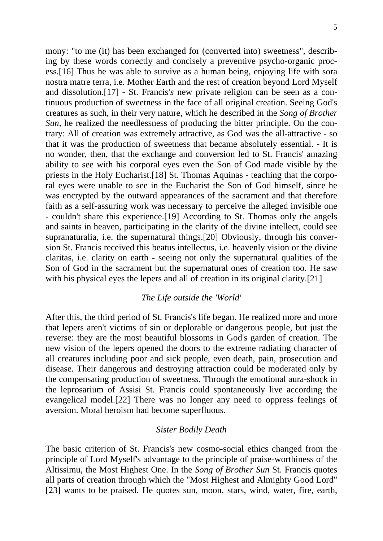mony: "to me (it) has been exchanged for (converted into) sweetness", describing by these words correctly and concisely a preventive psycho-organic process.[16] Thus he was able to survive as a human being, enjoying life with sora nostra matre terra, i.e. Mother Earth and the rest of creation beyond Lord Myself and dissolution.[17] - St. Francis*'s* new private religion can be seen as a continuous production of sweetness in the face of all original creation. Seeing God's creatures as such, in their very nature, which he described in the *Song of Brother Sun,* he realized the needlessness of producing the bitter principle. On the contrary: All of creation was extremely attractive, as God was the all-attractive - so that it was the production of sweetness that became absolutely essential. - It is no wonder, then, that the exchange and conversion led to St. Francis' amazing ability to see with his corporal eyes even the Son of God made visible by the priests in the Holy Eucharist.[18] St. Thomas Aquinas - teaching that the corporal eyes were unable to see in the Eucharist the Son of God himself, since he was encrypted by the outward appearances of the sacrament and that therefore faith as a self-assuring work was necessary to perceive the alleged invisible one - couldn't share this experience.[19] According to St. Thomas only the angels and saints in heaven, participating in the clarity of the divine intellect, could see supranaturalia, i.e. the supernatural things.[20] Obviously, through his conversion St. Francis received this beatus intellectus, i.e. heavenly vision or the divine claritas, i.e. clarity on earth - seeing not only the supernatural qualities of the Son of God in the sacrament but the supernatural ones of creation too. He saw with his physical eyes the lepers and all of creation in its original clarity.<sup>[21]</sup>

#### *The Life outside the 'World'*

After this, the third period of St. Francis's life began. He realized more and more that lepers aren't victims of sin or deplorable or dangerous people, but just the reverse: they are the most beautiful blossoms in God's garden of creation. The new vision of the lepers opened the doors to the extreme radiating character of all creatures including poor and sick people, even death, pain, prosecution and disease. Their dangerous and destroying attraction could be moderated only by the compensating production of sweetness. Through the emotional aura-shock in the leprosarium of Assisi St. Francis could spontaneously live according the evangelical model.[22] There was no longer any need to oppress feelings of aversion. Moral heroism had become superfluous.

#### *Sister Bodily Death*

The basic criterion of St. Francis's new cosmo-social ethics changed from the principle of Lord Myself's advantage to the principle of praise-worthiness of the Altissimu, the Most Highest One. In the *Song of Brother Sun* St. Francis quotes all parts of creation through which the "Most Highest and Almighty Good Lord" [23] wants to be praised. He quotes sun, moon, stars, wind, water, fire, earth,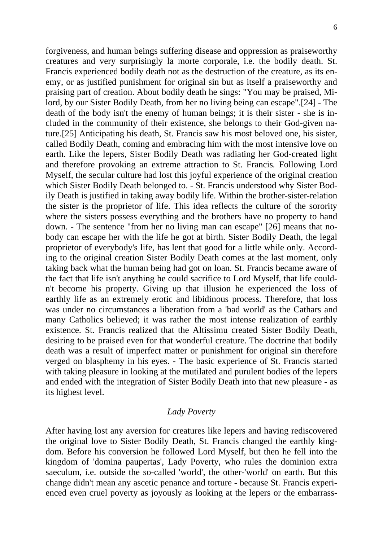forgiveness, and human beings suffering disease and oppression as praiseworthy creatures and very surprisingly la morte corporale, i.e. the bodily death. St. Francis experienced bodily death not as the destruction of the creature, as its enemy, or as justified punishment for original sin but as itself a praiseworthy and praising part of creation. About bodily death he sings: "You may be praised, Milord, by our Sister Bodily Death, from her no living being can escape".[24] - The death of the body isn't the enemy of human beings; it is their sister - she is included in the community of their existence, she belongs to their God-given nature.[25] Anticipating his death, St. Francis saw his most beloved one, his sister, called Bodily Death, coming and embracing him with the most intensive love on earth. Like the lepers, Sister Bodily Death was radiating her God-created light and therefore provoking an extreme attraction to St. Francis*.* Following Lord Myself, the secular culture had lost this joyful experience of the original creation which Sister Bodily Death belonged to. - St. Francis understood why Sister Bodily Death is justified in taking away bodily life. Within the brother-sister-relation the sister is the proprietor of life. This idea reflects the culture of the sorority where the sisters possess everything and the brothers have no property to hand down. - The sentence "from her no living man can escape" [26] means that nobody can escape her with the life he got at birth. Sister Bodily Death, the legal proprietor of everybody's life, has lent that good for a little while only. According to the original creation Sister Bodily Death comes at the last moment, only taking back what the human being had got on loan. St. Francis became aware of the fact that life isn't anything he could sacrifice to Lord Myself, that life couldn't become his property. Giving up that illusion he experienced the loss of earthly life as an extremely erotic and libidinous process. Therefore, that loss was under no circumstances a liberation from a 'bad world' as the Cathars and many Catholics believed; it was rather the most intense realization of earthly existence. St. Francis realized that the Altissimu created Sister Bodily Death, desiring to be praised even for that wonderful creature. The doctrine that bodily death was a result of imperfect matter or punishment for original sin therefore verged on blasphemy in his eyes. - The basic experience of St. Francis started with taking pleasure in looking at the mutilated and purulent bodies of the lepers and ended with the integration of Sister Bodily Death into that new pleasure - as its highest level.

#### *Lady Poverty*

After having lost any aversion for creatures like lepers and having rediscovered the original love to Sister Bodily Death, St. Francis changed the earthly kingdom. Before his conversion he followed Lord Myself, but then he fell into the kingdom of 'domina paupertas', Lady Poverty, who rules the dominion extra saeculum, i.e. outside the so-called 'world', the other-'world' on earth. But this change didn't mean any ascetic penance and torture - because St. Francis experienced even cruel poverty as joyously as looking at the lepers or the embarrass-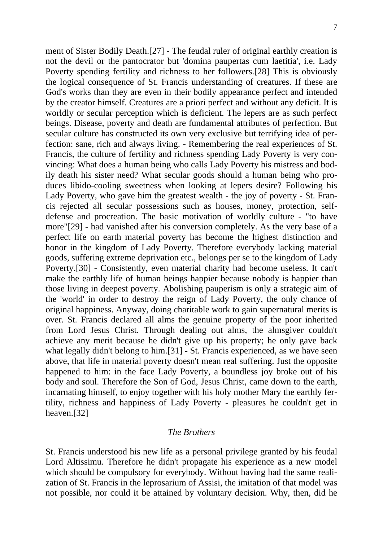ment of Sister Bodily Death.[27] - The feudal ruler of original earthly creation is not the devil or the pantocrator but 'domina paupertas cum laetitia', i.e. Lady Poverty spending fertility and richness to her followers.[28] This is obviously the logical consequence of St. Francis understanding of creatures. If these are God's works than they are even in their bodily appearance perfect and intended by the creator himself. Creatures are a priori perfect and without any deficit. It is worldly or secular perception which is deficient. The lepers are as such perfect beings. Disease, poverty and death are fundamental attributes of perfection. But secular culture has constructed its own very exclusive but terrifying idea of perfection: sane, rich and always living. - Remembering the real experiences of St. Francis, the culture of fertility and richness spending Lady Poverty is very convincing: What does a human being who calls Lady Poverty his mistress and bodily death his sister need? What secular goods should a human being who produces libido-cooling sweetness when looking at lepers desire? Following his Lady Poverty, who gave him the greatest wealth - the joy of poverty - St. Francis rejected all secular possessions such as houses, money, protection, selfdefense and procreation. The basic motivation of worldly culture - "to have more"[29] - had vanished after his conversion completely. As the very base of a perfect life on earth material poverty has become the highest distinction and honor in the kingdom of Lady Poverty. Therefore everybody lacking material goods, suffering extreme deprivation etc., belongs per se to the kingdom of Lady Poverty.[30] - Consistently, even material charity had become useless. It can't make the earthly life of human beings happier because nobody is happier than those living in deepest poverty. Abolishing pauperism is only a strategic aim of the 'world' in order to destroy the reign of Lady Poverty, the only chance of original happiness. Anyway, doing charitable work to gain supernatural merits is over. St. Francis declared all alms the genuine property of the poor inherited from Lord Jesus Christ. Through dealing out alms, the almsgiver couldn't achieve any merit because he didn't give up his property; he only gave back what legally didn't belong to him.[31] - St. Francis experienced, as we have seen above, that life in material poverty doesn't mean real suffering. Just the opposite happened to him: in the face Lady Poverty, a boundless joy broke out of his body and soul. Therefore the Son of God, Jesus Christ, came down to the earth, incarnating himself, to enjoy together with his holy mother Mary the earthly fertility, richness and happiness of Lady Poverty - pleasures he couldn't get in heaven.[32]

#### *The Brothers*

St. Francis understood his new life as a personal privilege granted by his feudal Lord Altissimu. Therefore he didn't propagate his experience as a new model which should be compulsory for everybody. Without having had the same realization of St. Francis in the leprosarium of Assisi, the imitation of that model was not possible, nor could it be attained by voluntary decision. Why, then, did he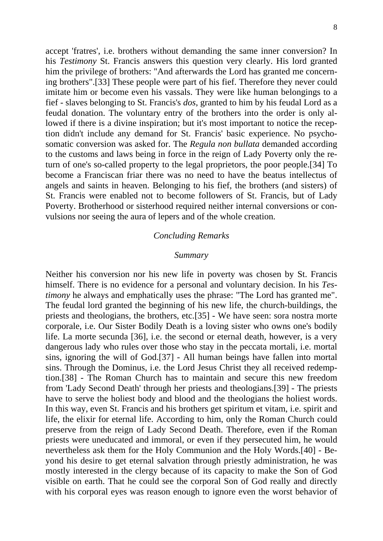accept 'fratres', i.e. brothers without demanding the same inner conversion? In his *Testimony* St. Francis answers this question very clearly. His lord granted him the privilege of brothers: "And afterwards the Lord has granted me concerning brothers".[33] These people were part of his fief. Therefore they never could imitate him or become even his vassals. They were like human belongings to a fief - slaves belonging to St. Francis's *dos*, granted to him by his feudal Lord as a feudal donation. The voluntary entry of the brothers into the order is only allowed if there is a divine inspiration; but it's most important to notice the reception didn't include any demand for St. Francis' basic experience. No psychosomatic conversion was asked for. The *Regula non bullata* demanded according to the customs and laws being in force in the reign of Lady Poverty only the return of one's so-called property to the legal proprietors, the poor people.[34] To become a Franciscan friar there was no need to have the beatus intellectus of angels and saints in heaven. Belonging to his fief, the brothers (and sisters) of St. Francis were enabled not to become followers of St. Francis, but of Lady Poverty. Brotherhood or sisterhood required neither internal conversions or convulsions nor seeing the aura of lepers and of the whole creation.

#### *Concluding Remarks*

#### *Summary*

Neither his conversion nor his new life in poverty was chosen by St. Francis himself. There is no evidence for a personal and voluntary decision. In his *Testimony* he always and emphatically uses the phrase: "The Lord has granted me". The feudal lord granted the beginning of his new life, the church-buildings, the priests and theologians, the brothers, etc.[35] - We have seen: sora nostra morte corporale, i.e. Our Sister Bodily Death is a loving sister who owns one's bodily life. La morte secunda [36], i.e. the second or eternal death*,* however, is a very dangerous lady who rules over those who stay in the peccata mortali, i.e. mortal sins, ignoring the will of God.[37] - All human beings have fallen into mortal sins. Through the Dominus, i.e. the Lord Jesus Christ they all received redemption.[38] - The Roman Church has to maintain and secure this new freedom from 'Lady Second Death' through her priests and theologians.[39] - The priests have to serve the holiest body and blood and the theologians the holiest words. In this way, even St. Francis and his brothers get spiritum et vitam, i.e. spirit and life, the elixir for eternal life. According to him, only the Roman Church could preserve from the reign of Lady Second Death. Therefore, even if the Roman priests were uneducated and immoral, or even if they persecuted him, he would nevertheless ask them for the Holy Communion and the Holy Words.[40] - Beyond his desire to get eternal salvation through priestly administration, he was mostly interested in the clergy because of its capacity to make the Son of God visible on earth. That he could see the corporal Son of God really and directly with his corporal eyes was reason enough to ignore even the worst behavior of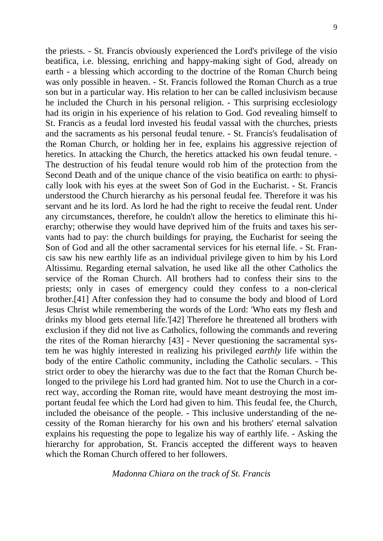the priests. - St. Francis obviously experienced the Lord's privilege of the visio beatifica, i.e. blessing, enriching and happy-making sight of God, already on earth - a blessing which according to the doctrine of the Roman Church being was only possible in heaven. - St. Francis followed the Roman Church as a true son but in a particular way. His relation to her can be called inclusivism because he included the Church in his personal religion. - This surprising ecclesiology had its origin in his experience of his relation to God. God revealing himself to St. Francis as a feudal lord invested his feudal vassal with the churches, priests and the sacraments as his personal feudal tenure. - St. Francis's feudalisation of the Roman Church, or holding her in fee, explains his aggressive rejection of heretics. In attacking the Church, the heretics attacked his own feudal tenure. -The destruction of his feudal tenure would rob him of the protection from the Second Death and of the unique chance of the visio beatifica on earth: to physically look with his eyes at the sweet Son of God in the Eucharist. - St. Francis understood the Church hierarchy as his personal feudal fee. Therefore it was his servant and he its lord. As lord he had the right to receive the feudal rent. Under any circumstances, therefore, he couldn't allow the heretics to eliminate this hierarchy; otherwise they would have deprived him of the fruits and taxes his servants had to pay: the church buildings for praying, the Eucharist for seeing the Son of God and all the other sacramental services for his eternal life. - St. Francis saw his new earthly life as an individual privilege given to him by his Lord Altissimu. Regarding eternal salvation, he used like all the other Catholics the service of the Roman Church. All brothers had to confess their sins to the priests; only in cases of emergency could they confess to a non-clerical brother.[41] After confession they had to consume the body and blood of Lord Jesus Christ while remembering the words of the Lord: 'Who eats my flesh and drinks my blood gets eternal life.'[42] Therefore he threatened all brothers with exclusion if they did not live as Catholics, following the commands and revering the rites of the Roman hierarchy [43] - Never questioning the sacramental system he was highly interested in realizing his privileged *earthly* life within the body of the entire Catholic community, including the Catholic seculars. - This strict order to obey the hierarchy was due to the fact that the Roman Church belonged to the privilege his Lord had granted him. Not to use the Church in a correct way, according the Roman rite, would have meant destroying the most important feudal fee which the Lord had given to him. This feudal fee, the Church, included the obeisance of the people. - This inclusive understanding of the necessity of the Roman hierarchy for his own and his brothers' eternal salvation explains his requesting the pope to legalize his way of earthly life. - Asking the hierarchy for approbation, St. Francis accepted the different ways to heaven which the Roman Church offered to her followers.

#### *Madonna Chiara on the track of St. Francis*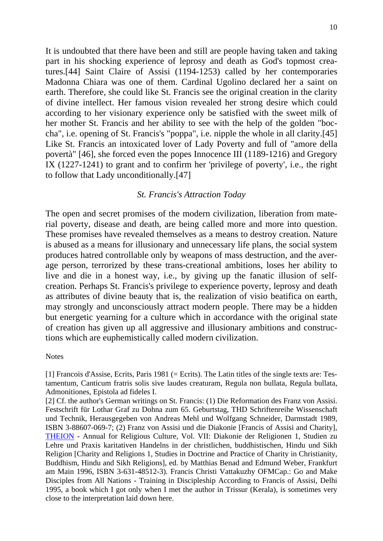It is undoubted that there have been and still are people having taken and taking part in his shocking experience of leprosy and death as God's topmost creatures.[44] Saint Claire of Assisi (1194-1253) called by her contemporaries Madonna Chiara was one of them. Cardinal Ugolino declared her a saint on earth. Therefore, she could like St. Francis see the original creation in the clarity of divine intellect. Her famous vision revealed her strong desire which could according to her visionary experience only be satisfied with the sweet milk of her mother St. Francis and her ability to see with the help of the golden "boccha", i.e. opening of St. Francis's "poppa", i.e. nipple the whole in all clarity.[45] Like St. Francis an intoxicated lover of Lady Poverty and full of "amore della povertà" [46], she forced even the popes Innocence III (1189-1216) and Gregory IX (1227-1241) to grant and to confirm her 'privilege of poverty', i.e., the right to follow that Lady unconditionally.[47]

#### *St. Francis's Attraction Today*

The open and secret promises of the modern civilization, liberation from material poverty, disease and death, are being called more and more into question. These promises have revealed themselves as a means to destroy creation. Nature is abused as a means for illusionary and unnecessary life plans, the social system produces hatred controllable only by weapons of mass destruction, and the average person, terrorized by these trans-creational ambitions, loses her ability to live and die in a honest way, i.e., by giving up the fanatic illusion of selfcreation. Perhaps St. Francis's privilege to experience poverty, leprosy and death as attributes of divine beauty that is, the realization of visio beatifica on earth, may strongly and unconsciously attract modern people. There may be a hidden but energetic yearning for a culture which in accordance with the original state of creation has given up all aggressive and illusionary ambitions and constructions which are euphemistically called modern civilization.

#### **Notes**

[1] Francois d'Assise, Ecrits, Paris 1981 (= Ecrits). The Latin titles of the single texts are: Testamentum, Canticum fratris solis sive laudes creaturam, Regula non bullata, Regula bullata, Admonitiones, Epistola ad fideles I.

[2] Cf. the author's German writings on St. Francis: (1) Die Reformation des Franz von Assisi. Festschrift für Lothar Graf zu Dohna zum 65. Geburtstag, THD Schriftenreihe Wissenschaft und Technik, Herausgegeben von Andreas Mehl und Wolfgang Schneider, Darmstadt 1989, ISBN 3-88607-069-7; (2) Franz von Assisi und die Diakonie [Francis of Assisi and Charity], [THEION](http://web.uni-frankfurt.de/irenik/Theion1.html) - Annual for Religious Culture, Vol. VII: Diakonie der Religionen 1, Studien zu Lehre und Praxis karitativen Handelns in der christlichen, buddhistischen, Hindu und Sikh Religion [Charity and Religions 1, Studies in Doctrine and Practice of Charity in Christianity, Buddhism, Hindu and Sikh Religions], ed. by Matthias Benad and Edmund Weber, Frankfurt am Main 1996, ISBN 3-631-48512-3). Francis Christi Vattakuzhy OFMCap.: Go and Make Disciples from All Nations - Training in Discipleship According to Francis of Assisi, Delhi 1995, a book which I got only when I met the author in Trissur (Kerala), is sometimes very close to the interpretation laid down here.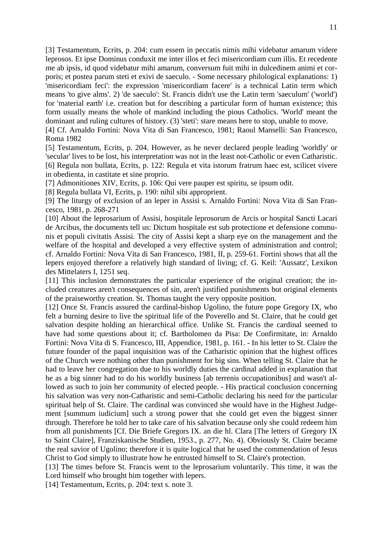[3] Testamentum, Ecrits, p. 204: cum essem in peccatis nimis mihi videbatur amarum videre leprosos. Et ipse Dominus conduxit me inter illos et feci misericordiam cum illis. Et recedente me ab ipsis, id quod videbatur mihi amarum, conversum fuit mihi in dulcedinem animi et corporis; et postea parum steti et exivi de saeculo. - Some necessary philological explanations: 1) 'misericordiam feci': the expression 'misericordiam facere' is a technical Latin term which means 'to give alms'. 2) 'de saeculo': St. Francis didn't use the Latin term 'saeculum' ('world') for 'material earth' i.e. creation but for describing a particular form of human existence; this form usually means the whole of mankind including the pious Catholics. 'World' meant the dominant and ruling cultures of history. (3) 'steti': stare means here to stop, unable to move.

[4] Cf. Arnaldo Fortini: Nova Vita di San Francesco, 1981; Raoul Manselli: San Francesco, Roma 1982

[5] Testamentum, Ecrits, p. 204. However, as he never declared people leading 'worldly' or 'secular' lives to be lost, his interpretation was not in the least not-Catholic or even Catharistic. [6] Regula non bullata, Ecrits, p. 122: Regula et vita istorum fratrum haec est, scilicet vivere in obedienta, in castitate et sine proprio.

[7] Admonitiones XIV, Ecrits, p. 106: Qui vere pauper est spiritu, se ipsum odit.

[8] Regula bullata VI, Ecrits, p. 190: nihil sibi approprient.

[9] The liturgy of exclusion of an leper in Assisi s. Arnaldo Fortini: Nova Vita di San Francesco, 1981, p. 268-271

[10] About the leprosarium of Assisi, hospitale leprosorum de Arcis or hospital Sancti Lacari de Arcibus, the documents tell us: Dictum hospitale est sub protectione et defensione communis et populi civitatis Assisi. The city of Assisi kept a sharp eye on the management and the welfare of the hospital and developed a very effective system of administration and control; cf. Arnaldo Fortini: Nova Vita di San Francesco, 1981, II, p. 259-61. Fortini shows that all the lepers enjoyed therefore a relatively high standard of living; cf. G. Keil: 'Aussatz', Lexikon des Mittelaters I, 1251 seq.

[11] This inclusion demonstrates the particular experience of the original creation; the included creatures aren't consequences of sin, aren't justified punishments but original elements of the praiseworthy creation. St. Thomas taught the very opposite position.

[12] Once St. Francis assured the cardinal-bishop Ugolino, the future pope Gregory IX, who felt a burning desire to live the spiritual life of the Poverello and St. Claire, that he could get salvation despite holding an hierarchical office. Unlike St. Francis the cardinal seemed to have had some questions about it; cf. Bartholomeo da Pisa: De Confirmitate, in: Arnaldo Fortini: Nova Vita di S. Francesco, III, Appendice, 1981, p. 161. - In his letter to St. Claire the future founder of the papal inquisition was of the Catharistic opinion that the highest offices of the Church were nothing other than punishment for big sins. When telling St. Claire that he had to leave her congregation due to his worldly duties the cardinal added in explanation that he as a big sinner had to do his worldly business [ab terrenis occupationibus] and wasn't allowed as such to join her community of elected people. - His practical conclusion concerning his salvation was very non-Catharistic and semi-Catholic declaring his need for the particular spiritual help of St. Claire. The cardinal was convinced she would have in the Highest Judgement [summum iudicium] such a strong power that she could get even the biggest sinner through. Therefore he told her to take care of his salvation because only she could redeem him from all punishments [Cf. Die Briefe Gregors IX. an die hl. Clara [The letters of Gregory IX to Saint Claire], Franziskanische Studien, 1953., p. 277, No. 4). Obviously St. Claire became the real savior of Ugolino; therefore it is quite logical that he used the commendation of Jesus Christ to God simply to illustrate how he entrusted himself to St. Claire's protection.

[13] The times before St. Francis went to the leprosarium voluntarily. This time, it was the Lord himself who brought him together with lepers.

[14] Testamentum, Ecrits, p. 204: text s. note 3.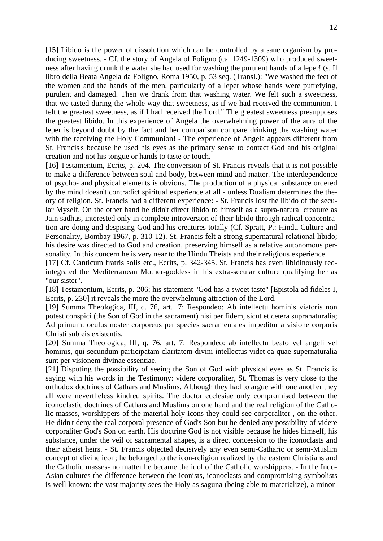[15] Libido is the power of dissolution which can be controlled by a sane organism by producing sweetness. - Cf. the story of Angela of Foligno (ca. 1249-1309) who produced sweetness after having drunk the water she had used for washing the purulent hands of a leper! (s. Il libro della Beata Angela da Foligno, Roma 1950, p. 53 seq. (Transl.): "We washed the feet of the women and the hands of the men, particularly of a leper whose hands were putrefying, purulent and damaged. Then we drank from that washing water. We felt such a sweetness, that we tasted during the whole way that sweetness, as if we had received the communion. I felt the greatest sweetness, as if I had received the Lord." The greatest sweetness presupposes the greatest libido. In this experience of Angela the overwhelming power of the aura of the leper is beyond doubt by the fact and her comparison compare drinking the washing water with the receiving the Holy Communion! - The experience of Angela appears different from St. Francis's because he used his eyes as the primary sense to contact God and his original creation and not his tongue or hands to taste or touch.

[16] Testamentum, Ecrits, p. 204. The conversion of St. Francis reveals that it is not possible to make a difference between soul and body, between mind and matter. The interdependence of psycho- and physical elements is obvious. The production of a physical substance ordered by the mind doesn't contradict spiritual experience at all - unless Dualism determines the theory of religion. St. Francis had a different experience: - St. Francis lost the libido of the secular Myself. On the other hand he didn't direct libido to himself as a supra-natural creature as Jain sadhus, interested only in complete introversion of their libido through radical concentration are doing and despising God and his creatures totally (Cf. Spratt, P.: Hindu Culture and Personality, Bombay 1967, p. 310-12). St. Francis felt a strong supernatural relational libido; his desire was directed to God and creation, preserving himself as a relative autonomous personality. In this concern he is very near to the Hindu Theists and their religious experience.

[17] Cf. Canticum fratris solis etc., Ecrits, p. 342-345. St. Francis has even libidinously redintegrated the Mediterranean Mother-goddess in his extra-secular culture qualifying her as "our sister".

[18] Testamentum, Ecrits, p. 206; his statement "God has a sweet taste" [Epistola ad fideles I, Ecrits, p. 230] it reveals the more the overwhelming attraction of the Lord.

[19] Summa Theologica, III, q. 76, art. .7: Respondeo: Ab intellectu hominis viatoris non potest conspici (the Son of God in the sacrament) nisi per fidem, sicut et cetera supranaturalia; Ad primum: oculus noster corporeus per species sacramentales impeditur a visione corporis Christi sub eis existentis.

[20] Summa Theologica, III, q. 76, art. 7: Respondeo: ab intellectu beato vel angeli vel hominis, qui secundum participatam claritatem divini intellectus videt ea quae supernaturalia sunt per visionem divinae essentiae.

[21] Disputing the possibility of seeing the Son of God with physical eyes as St. Francis is saying with his words in the Testimony: videre corporaliter, St. Thomas is very close to the orthodox doctrines of Cathars and Muslims. Although they had to argue with one another they all were nevertheless kindred spirits. The doctor ecclesiae only compromised between the iconoclastic doctrines of Cathars and Muslims on one hand and the real religion of the Catholic masses, worshippers of the material holy icons they could see corporaliter , on the other. He didn't deny the real corporal presence of God's Son but he denied any possibility of videre corporaliter God's Son on earth. His doctrine God is not visible because he hides himself, his substance, under the veil of sacramental shapes, is a direct concession to the iconoclasts and their atheist heirs. - St. Francis objected decisively any even semi-Catharic or semi-Muslim concept of divine icon; he belonged to the icon-religion realized by the eastern Christians and the Catholic masses- no matter he became the idol of the Catholic worshippers. - In the Indo-Asian cultures the difference between the iconists, iconoclasts and compromising symbolists is well known: the vast majority sees the Holy as saguna (being able to materialize), a minor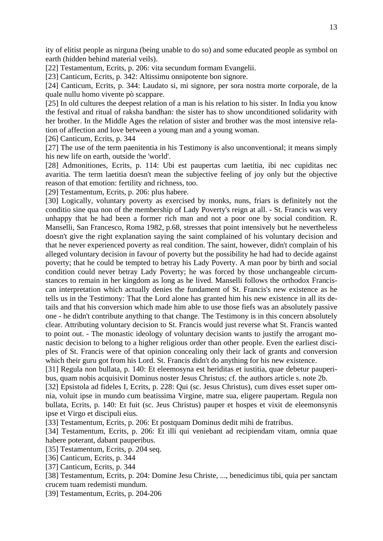ity of elitist people as nirguna (being unable to do so) and some educated people as symbol on earth (hidden behind material veils).

[22] Testamentum, Ecrits, p. 206: vita secundum formam Evangelii.

[23] Canticum, Ecrits, p. 342: Altissimu onnipotente bon signore.

[24] Canticum, Ecrits, p. 344: Laudato si, mi signore, per sora nostra morte corporale, de la quale nullu homo vivente pò scappare.

[25] In old cultures the deepest relation of a man is his relation to his sister. In India you know the festival and ritual of raksha bandhan: the sister has to show unconditioned solidarity with her brother. In the Middle Ages the relation of sister and brother was the most intensive relation of affection and love between a young man and a young woman.

[26] Canticum, Ecrits, p. 344

[27] The use of the term paenitentia in his Testimony is also unconventional; it means simply his new life on earth, outside the 'world'.

[28] Admonitiones, Ecrits, p. 114: Ubi est paupertas cum laetitia, ibi nec cupiditas nec avaritia. The term laetitia doesn't mean the subjective feeling of joy only but the objective reason of that emotion: fertility and richness, too.

[29] Testamentum, Ecrits, p. 206: plus habere.

[30] Logically, voluntary poverty as exercised by monks, nuns, friars is definitely not the conditio sine qua non of the membership of Lady Poverty's reign at all. - St. Francis was very unhappy that he had been a former rich man and not a poor one by social condition. R. Manselli, San Francesco, Roma 1982, p.68, stresses that point intensively but he nevertheless doesn't give the right explanation saying the saint complained of his voluntary decision and that he never experienced poverty as real condition. The saint, however, didn't complain of his alleged voluntary decision in favour of poverty but the possibility he had had to decide against poverty; that he could be tempted to betray his Lady Poverty. A man poor by birth and social condition could never betray Lady Poverty; he was forced by those unchangeable circumstances to remain in her kingdom as long as he lived. Manselli follows the orthodox Franciscan interpretation which actually denies the fundament of St. Francis's new existence as he tells us in the Testimony: That the Lord alone has granted him his new existence in all its details and that his conversion which made him able to use those fiefs was an absolutely passive one - he didn't contribute anything to that change. The Testimony is in this concern absolutely clear. Attributing voluntary decision to St. Francis would just reverse what St. Francis wanted to point out. - The monastic ideology of voluntary decision wants to justify the arrogant monastic decision to belong to a higher religious order than other people. Even the earliest disciples of St. Francis were of that opinion concealing only their lack of grants and conversion which their guru got from his Lord. St. Francis didn't do anything for his new existence.

[31] Regula non bullata, p. 140: Et eleemosyna est heriditas et iustitia, quae debetur pauperibus, quam nobis acquisivit Dominus noster Jesus Christus; cf. the authors article s. note 2b.

[32] Epsistola ad fideles I, Ecrits, p. 228: Qui (sc. Jesus Christus), cum dives esset super omnia, voluit ipse in mundo cum beatissima Virgine, matre sua, eligere paupertam. Regula non bullata, Ecrits, p. 140: Et fuit (sc. Jeus Christus) pauper et hospes et vixit de eleemonsynis ipse et Virgo et discipuli eius.

[33] Testamentum, Ecrits, p. 206: Et postquam Dominus dedit mihi de fratribus.

[34] Testamentum, Ecrits, p. 206: Et illi qui veniebant ad recipiendam vitam, omnia quae habere poterant, dabant pauperibus.

[35] Testamentum, Ecrits, p. 204 seq.

[36] Canticum, Ecrits, p. 344

[37] Canticum, Ecrits, p. 344

[38] Testamentum, Ecrits, p. 204: Domine Jesu Christe, ..., benedicimus tibi, quia per sanctam crucem tuam redemisti mundum.

[39] Testamentum, Ecrits, p. 204-206